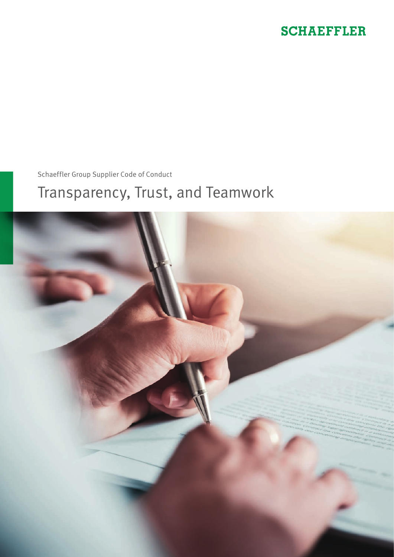# **SCHAEFFLER**

Schaeffler Group Supplier Code of Conduct

# Transparency, Trust, and Teamwork

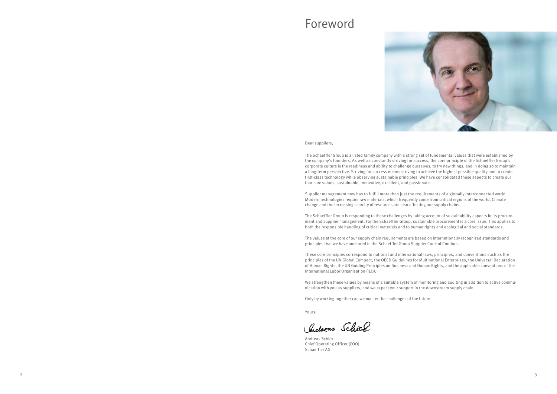Dear suppliers,

The Schaeffler Group is a listed family company with a strong set of fundamental values that were established by the company's founders. As well as constantly striving for success, the core principle of the Schaeffler Group's corporate culture is the readiness and ability to challenge ourselves, to try new things, and in doing so to maintain a long-term perspective. Striving for success means striving to achieve the highest possible quality and to create first-class technology while observing sustainable principles. We have consolidated these aspects to create our four core values: sustainable, innovative, excellent, and passionate.

Supplier management now has to fulfill more than just the requirements of a globally interconnected world. Modern technologies require raw materials, which frequently come from critical regions of the world. Climate change and the increasing scarcity of resources are also affecting our supply chains.

We strengthen these values by means of a suitable system of monitoring and auditing in addition to active communication with you as suppliers, and we expect your support in the downstream supply chain.

The Schaeffler Group is responding to these challenges by taking account of sustainability aspects in its procurement and supplier management. For the Schaeffler Group, sustainable procurement is a core issue. This applies to both the responsible handling of critical materials and to human rights and ecological and social standards.

The values at the core of our supply chain requirements are based on internationally recognized standards and principles that we have anchored in the Schaeffler Group Supplier Code of Conduct.

These core principles correspond to national and international laws, principles, and conventions such as the principles of the UN Global Compact, the OECD Guidelines for Multinational Enterprises, the Universal Declaration of Human Rights, the UN Guiding Principles on Business and Human Rights, and the applicable conventions of the International Labor Organization (ILO).

Only by working together can we master the challenges of the future.

Yours,

Chocheas Schick

Andreas Schick Chief Operating Officer (COO) Schaeffler AG

# Foreword



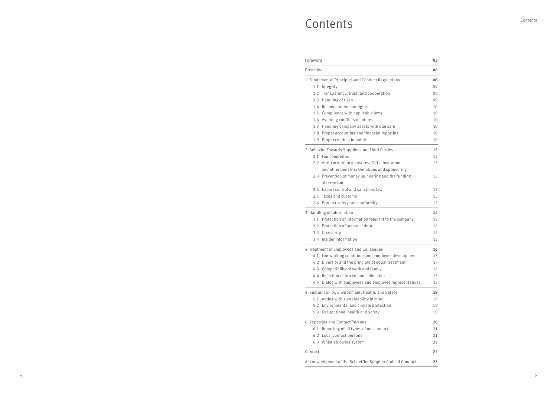# **Contents**

#### **Foreword**

Preamble **06**

# 1 Fundamental Principles and Conduct Regulations 1.1 Integrity 1.2 Transparency, trust, and cooperation 1.3 Handling of risks 1.4 Respect for human rights 1.5 Compliance with applicable laws 1.6 Avoiding conflicts of interest

- 1.7 Handling company assets with due care
- 1.8 Proper accounting and financial reporting
- 1.9 Proper conduct in public

2 Behavior Towards Suppliers and Third Parties

- 2.1 Fair competition
- 2.2 Anti-corruption measures; Gifts, invitations, and other benefits; Donations and sponsoring
- 2.3 Prevention of money laundering and the funding of terrorism
- 2.4 Export control and sanctions law
- 2.5 Taxes and customs
- 2.6 Product safety and conformity

3 Handling of Information

- 3.1 Protection of information relevant to the company
- 3.2 Protection of personal data
- 3.3 IT security
- 3.4 Insider information

4 Treatment of Employees and Colleagues

| 03              |
|-----------------|
| 06              |
| 08              |
| 09              |
| 09              |
| 09              |
| 10              |
| 10              |
| 10              |
| 10              |
| 10              |
| 10              |
| 12              |
| 13              |
| 13              |
| 13              |
| 13              |
| 13              |
| 13              |
| 14              |
| 15              |
| 15              |
| 15              |
| 15              |
| 16              |
| 17              |
| 17              |
| 17              |
| 17              |
| 17              |
| 18              |
| 19              |
| 19              |
| 19              |
| 20              |
| 21              |
| $\overline{21}$ |
| $\overline{22}$ |
| 22              |
| 23              |

- 4.1 Fair working conditions and employee development
- 4.2 Diversity and the principle of equal treatment
- 4.3 Compatibility of work and family
- 4.4 Rejection of forced and child labor
- 4.5 Dialog with employees and employee representatives

5 Sustainability, Environment, Health, and Safety

- 5.1 Acting with sustainability in mind
- 5.2 Environmental and climate protection
- 5.3 Occupational health and safety

6 Reporting and Contact Persons

- 6.1 Reporting of all types of misconduct
- 6.2 Local contact persons
- 6.3 Whistleblowing system

Contact **22**

Acknowledgment of the Schaeffler Supplier Code of Conduct **23**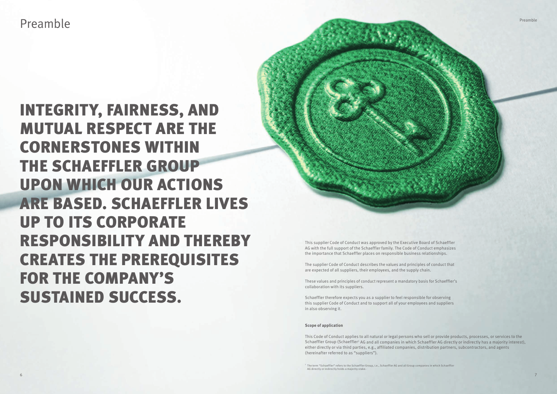Preamble

INTEGRITY, FAIRNESS, AND MUTUAL RESPECT ARE THE CORNERSTONES WITHIN THE SCHAEFFLER GROUP UPON WHICH OUR ACTIONS ARE BASED. SCHAEFFLER LIVES UP TO ITS CORPORATE RESPONSIBILITY AND THEREBY CREATES THE PREREQUISITES FOR THE COMPANY'S SUSTAINED SUCCESS.

This supplier Code of Conduct was approved by the Executive Board of Schaeffler AG with the full support of the Schaeffler family. The Code of Conduct emphasizes the importance that Schaeffler places on responsible business relationships.

<sup>1</sup> The term "Schaeffler" refers to the Schaeffler Group, i.e., Schaeffler AG and all Group companies in which Schaeffler AG directly or indirectly holds a majority stake.

The supplier Code of Conduct describes the values and principles of conduct that are expected of all suppliers, their employees, and the supply chain.

These values and principles of conduct represent a mandatory basis for Schaeffler's collaboration with its suppliers.

Schaeffler therefore expects you as a supplier to feel responsible for observing this supplier Code of Conduct and to support all of your employees and suppliers in also observing it.

#### **Scope of application**

This Code of Conduct applies to all natural or legal persons who sell or provide products, processes, or services to the Schaeffler Group (Schaeffler<sup>1</sup> AG and all companies in which Schaeffler AG directly or indirectly has a majority interest), either directly or via third parties, e.g., affiliated companies, distribution partners, subcontractors, and agents (hereinafter referred to as "suppliers").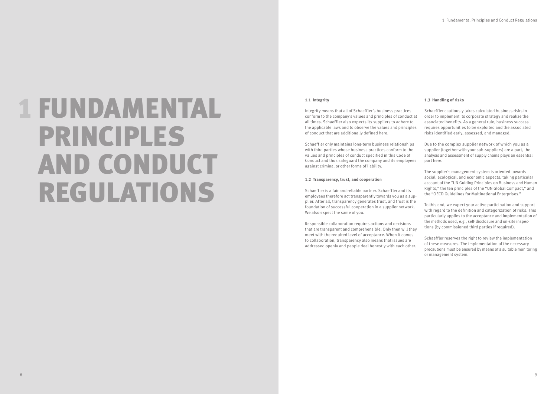# 1 FUNDAMENTAL PRINCIPLES AND CONDUCT REGULATIONS

### **1.1 Integrity**

Integrity means that all of Schaeffler's business practices conform to the company's values and principles of conduct at all times. Schaeffler also expects its suppliers to adhere to the applicable laws and to observe the values and principles of conduct that are additionally defined here.

Schaeffler only maintains long-term business relationships with third parties whose business practices conform to the values and principles of conduct specified in this Code of Conduct and thus safeguard the company and its employees against criminal or other forms of liability.

#### **1.2 Transparency, trust, and cooperation**

Schaeffler is a fair and reliable partner. Schaeffler and its employees therefore act transparently towards you as a supplier. After all, transparency generates trust, and trust is the foundation of successful cooperation in a supplier network. We also expect the same of you.

Responsible collaboration requires actions and decisions that are transparent and comprehensible. Only then will they meet with the required level of acceptance. When it comes to collaboration, transparency also means that issues are addressed openly and people deal honestly with each other.

# **1.3 Handling of risks**

Schaeffler cautiously takes calculated business risks in order to implement its corporate strategy and realize the associated benefits. As a general rule, business success requires opportunities to be exploited and the associated risks identified early, assessed, and managed.

Due to the complex supplier network of which you as a supplier (together with your sub-suppliers) are a part, the analysis and assessment of supply chains plays an essential part here.

The supplier's management system is oriented towards social, ecological, and economic aspects, taking particular account of the "UN Guiding Principles on Business and Human Rights," the ten principles of the "UN Global Compact," and the "OECD Guidelines for Multinational Enterprises."

To this end, we expect your active participation and support with regard to the definition and categorization of risks. This particularly applies to the acceptance and implementation of the methods used, e.g., self-disclosure and on-site inspections (by commissioned third parties if required).

Schaeffler reserves the right to review the implementation of these measures. The implementation of the necessary precautions must be ensured by means of a suitable monitoring or management system.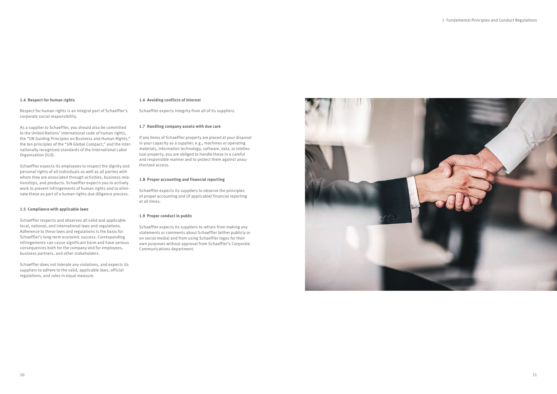#### **1.4 Respect for human rights**

Respect for human rights is an integral part of Schaeffler's corporate social responsibility.

As a supplier to Schaeffler, you should also be committed to the United Nations' international code of human rights, the "UN Guiding Principles on Business and Human Rights," the ten principles of the "UN Global Compact," and the internationally recognized standards of the International Labor Organization (ILO).

Schaeffler expects its employees to respect the dignity and personal rights of all individuals as well as all parties with whom they are associated through activities, business relationships, and products. Schaeffler expects you to actively work to prevent infringements of human rights and to eliminate these as part of a human rights due diligence process.

#### **1.5 Compliance with applicable laws**

Schaeffler respects and observes all valid and applicable local, national, and international laws and regulations. Adherence to these laws and regulations is the basis for Schaeffler's long-term economic success. Corresponding infringements can cause significant harm and have serious consequences both for the company and for employees, business partners, and other stakeholders.

Schaeffler does not tolerate any violations, and expects its suppliers to adhere to the valid, applicable laws, official regulations, and rules in equal measure.

#### **1.6 Avoiding conflicts of interest**

Schaeffler expects integrity from all of its suppliers.

### **1.7 Handling company assets with due care**

If any items of Schaeffler property are placed at your disposal in your capacity as a supplier, e.g., machines or operating materials, information technology, software, data, or intellectual property, you are obliged to handle these in a careful and responsible manner and to protect them against unauthorized access.

#### **1.8 Proper accounting and financial reporting**

Schaeffler expects its suppliers to observe the principles of proper accounting and (if applicable) financial reporting at all times.

#### **1.9 Proper conduct in public**

Schaeffler expects its suppliers to refrain from making any statements or comments about Schaeffler (either publicly or on social media) and from using Schaeffler logos for their own purposes without approval from Schaeffler's Corporate Communications department.

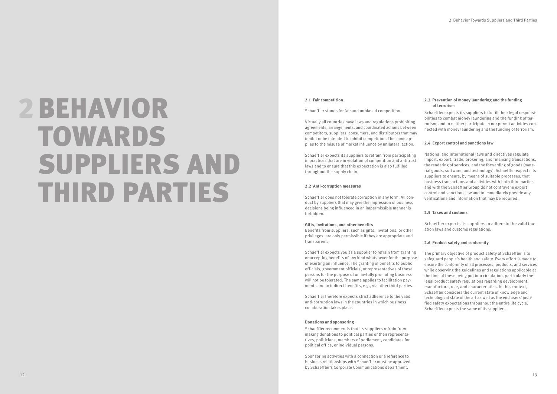# 2BEHAVIOR TOWARDS SUPPLIERS AND THIRD PARTIES

#### **2.1 Fair competition**

Schaeffler stands for fair and unbiased competition.

Virtually all countries have laws and regulations prohibiting agreements, arrangements, and coordinated actions between competitors, suppliers, consumers, and distributors that may inhibit or be intended to inhibit competition. The same ap plies to the misuse of market influence by unilateral action.

Schaeffler expects its suppliers to refrain from participating in practices that are in violation of competition and antitrust laws and to ensure that this expectation is also fulfilled throughout the supply chain.

#### **2.2 Anti-corruption measures**

Schaeffler does not tolerate corruption in any form. All con duct by suppliers that may give the impression of business decisions being influenced in an impermissible manner is forbidden.

#### **Gifts, invitations, and other benefits**

Benefits from suppliers, such as gifts, invitations, or other privileges, are only permissible if they are appropriate and transparent.

Schaeffler expects you as a supplier to refrain from granting or accepting benefits of any kind whatsoever for the purpose of exerting an influence. The granting of benefits to public officials, government officials, or representatives of these persons for the purpose of unlawfully promoting business will not be tolerated. The same applies to facilitation pay ments and to indirect benefits, e.g., via other third parties.

Schaeffler therefore expects strict adherence to the valid anti-corruption laws in the countries in which business collaboration takes place.

#### **Donations and sponsoring**

Schaeffler recommends that its suppliers refrain from making donations to political parties or their representa tives, politicians, members of parliament, candidates for political office, or individual persons.

Sponsoring activities with a connection or a reference to business relationships with Schaeffler must be approved by Schaeffler's Corporate Communications department.

### **2.3 Prevention of money laundering and the funding of terrorism**

Schaeffler expects its suppliers to fulfill their legal responsi bilities to combat money laundering and the funding of ter rorism, and to neither participate in nor permit activities con nected with money laundering and the funding of terrorism.

# **2.4 Export control and sanctions law**

National and international laws and directives regulate import, export, trade, brokering, and financing transactions, the rendering of services, and the forwarding of goods (mate rial goods, software, and technology). Schaeffler expects its suppliers to ensure, by means of suitable processes, that business transactions and activities with both third parties and with the Schaeffler Group do not contravene export control and sanctions law and to immediately provide any verifications and information that may be required.

# **2.5 Taxes and customs**

Schaeffler expects its suppliers to adhere to the valid tax ation laws and customs regulations.

# **2.6 Product safety and conformity**

The primary objective of product safety at Schaeffler is to safeguard people's health and safety. Every effort is made to ensure the conformity of all processes, products, and services while observing the guidelines and regulations applicable at the time of these being put into circulation, particularly the legal product safety regulations regarding development, manufacture, use, and characteristics. In this context, Schaeffler considers the current state of knowledge and technological state of the art as well as the end users' justi fied safety expectations throughout the entire life cycle. Schaeffler expects the same of its suppliers.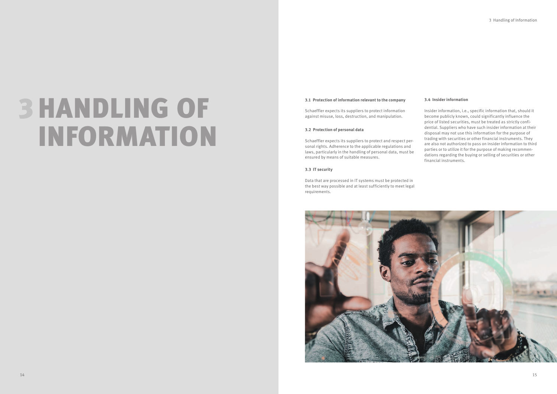# 3HANDLING OF INFORMATION

#### **3.1 Protection of information relevant to the company**

Schaeffler expects its suppliers to protect information against misuse, loss, destruction, and manipulation.

#### **3.2 Protection of personal data**

Schaeffler expects its suppliers to protect and respect personal rights. Adherence to the applicable regulations and laws, particularly in the handling of personal data, must be ensured by means of suitable measures.

#### **3.3 IT security**

Data that are processed in IT systems must be protected in the best way possible and at least sufficiently to meet legal requirements.



# **3.4 Insider information**

Insider information, i.e., specific information that, should it become publicly known, could significantly influence the price of listed securities, must be treated as strictly confidential. Suppliers who have such insider information at their disposal may not use this information for the purpose of trading with securities or other financial instruments. They are also not authorized to pass on insider information to third parties or to utilize it for the purpose of making recommendations regarding the buying or selling of securities or other financial instruments.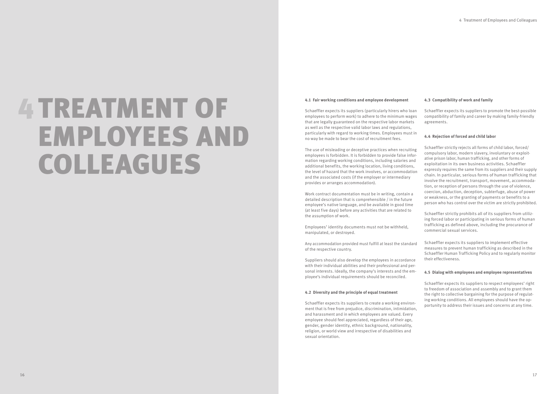# 4 TREATMENT OF EMPLOYEES AND COLLEAGUES

# **4.1 Fair working conditions and employee development**

Schaeffler expects its suppliers (particularly hirers who loan employees to perform work) to adhere to the minimum wages that are legally guaranteed on the respective labor markets as well as the respective valid labor laws and regulations, particularly with regard to working times. Employees must in no way be made to bear the cost of recruitment fees.

The use of misleading or deceptive practices when recruiting employees is forbidden. It is forbidden to provide false infor mation regarding working conditions, including salaries and additional benefits, the working location, living conditions, the level of hazard that the work involves, or accommodation and the associated costs (if the employer or intermediary provides or arranges accommodation).

Work contract documentation must be in writing, contain a detailed description that is comprehensible / in the future employee's native language, and be available in good time (at least five days) before any activities that are related to the assumption of work.

Employees' identity documents must not be withheld, manipulated, or destroyed.

Any accommodation provided must fulfill at least the standard of the respective country.

Suppliers should also develop the employees in accordance with their individual abilities and their professional and per sonal interests. Ideally, the company's interests and the em ployee's individual requirements should be reconciled.

#### **4.2 Diversity and the principle of equal treatment**

Schaeffler expects its suppliers to create a working environ ment that is free from prejudice, discrimination, intimidation, and harassment and in which employees are valued. Every employee should feel appreciated, regardless of their age, gender, gender identity, ethnic background, nationality, religion, or world view and irrespective of disabilities and sexual orientation.

# **4.3 Compatibility of work and family**

Schaeffler expects its suppliers to promote the best-possible compatibility of family and career by making family-friendly agreements.

# **4.4 Rejection of forced and child labor**

Schaeffler strictly rejects all forms of child labor, forced/ compulsory labor, modern slavery, involuntary or exploit ative prison labor, human trafficking, and other forms of exploitation in its own business activities. Schaeffler expressly requires the same from its suppliers and their supply chain. In particular, serious forms of human trafficking that involve the recruitment, transport, movement, accommoda tion, or reception of persons through the use of violence, coercion, abduction, deception, subterfuge, abuse of power or weakness, or the granting of payments or benefits to a person who has control over the victim are strictly prohibited.

Schaeffler strictly prohibits all of its suppliers from utiliz ing forced labor or participating in serious forms of human trafficking as defined above, including the procurance of commercial sexual services.

Schaeffler expects its suppliers to implement effective measures to prevent human trafficking as described in the Schaeffler Human Trafficking Policy and to regularly monitor their effectiveness.

#### **4.5 Dialog with employees and employee representatives**

Schaeffler expects its suppliers to respect employees' right to freedom of association and assembly and to grant them the right to collective bargaining for the purpose of regulat ing working conditions. All employees should have the op portunity to address their issues and concerns at any time.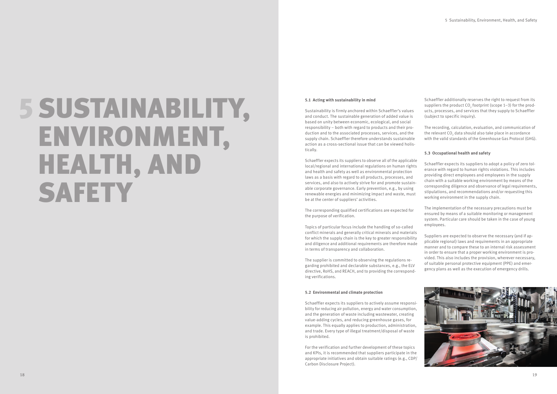# 5SUSTAINABILITY, ENVIRONMENT, HEALTH, AND **SAFETY**

# **5.1 Acting with sustainability in mind**

Sustainability is firmly anchored within Schaeffler's values and conduct. The sustainable generation of added value is based on unity between economic, ecological, and social responsibility – both with regard to products and their pro duction and to the associated processes, services, and the supply chain. Schaeffler therefore understands sustainable action as a cross-sectional issue that can be viewed holis tically.

Schaeffler expects its suppliers to observe all of the applicable local/regional and international regulations on human rights and health and safety as well as environmental protection laws as a basis with regard to all products, processes, and services, and also to actively strive for and promote sustain able corporate governance. Early prevention, e.g., by using renewable energies and minimizing impact and waste, must be at the center of suppliers' activities.

The corresponding qualified certifications are expected for the purpose of verification.

Topics of particular focus include the handling of so-called conflict minerals and generally critical minerals and materials for which the supply chain is the key to greater responsibility and diligence and additional requirements are therefore made in terms of transparency and collaboration.

The supplier is committed to observing the regulations re garding prohibited and declarable substances, e.g., the ELV directive, RoHS, and REACH, and to providing the correspond ing verifications.

#### **5.2 Environmental and climate protection**

Schaeffler expects its suppliers to actively assume responsi bility for reducing air pollution, energy and water consumption, and the generation of waste including wastewater, creating value-adding cycles, and reducing greenhouse gases, for example. This equally applies to production, administration, and trade. Every type of illegal treatment/disposal of waste is prohibited.

For the verification and further development of these topics and KPIs, it is recommended that suppliers participate in the appropriate initiatives and obtain suitable ratings (e.g., CDP/ Carbon Disclosure Project).

Schaeffler additionally reserves the right to request from its suppliers the product  $CO<sub>2</sub>$  footprint (scope 1-3) for the prodsuppress the product  $\sigma_2$  for print (seeper 1 s) for the products, processes, and services that they supply to Schaeffler (subject to specific inquiry).

The recording, calculation, evaluation, and communication of the relevant CO $_{_2}$  data should also take place in accordance with the valid standards of the Greenhouse Gas Protocol (GHG).

# **5.3 Occupational health and safety**

Schaeffler expects its suppliers to adopt a policy of zero tol erance with regard to human rights violations. This includes providing direct employees and employees in the supply chain with a suitable working environment by means of the corresponding diligence and observance of legal requirements, stipulations, and recommendations and/or requesting this working environment in the supply chain.

The implementation of the necessary precautions must be ensured by means of a suitable monitoring or management system. Particular care should be taken in the case of young employees.

Suppliers are expected to observe the necessary (and if ap plicable regional) laws and requirements in an appropriate manner and to compare these to an internal risk assessment in order to ensure that a proper working environment is pro vided. This also includes the provision, wherever necessary, of suitable personal protective equipment (PPE) and emer gency plans as well as the execution of emergency drills.

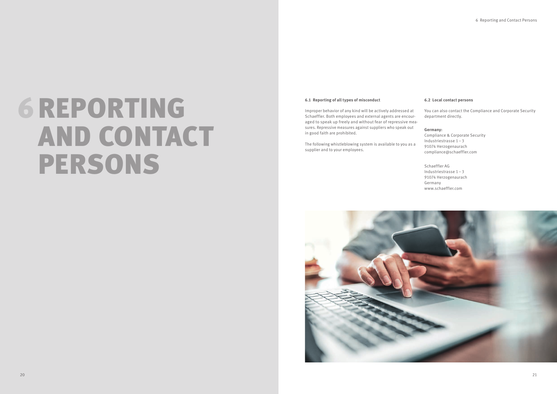# 6REPORTING AND CONTACT PERSONS

### **6.1 Reporting of all types of misconduct**

Improper behavior of any kind will be actively addressed at Schaeffler. Both employees and external agents are encouraged to speak up freely and without fear of repressive measures. Repressive measures against suppliers who speak out in good faith are prohibited.

The following whistleblowing system is available to you as a supplier and to your employees.



# **6.2 Local contact persons**

You can also contact the Compliance and Corporate Security department directly.

### **Germany:**

Compliance & Corporate Security Industriestrasse 1–3 91074 Herzogenaurach compliance@schaeffler.com

Schaeffler AG Industriestrasse 1–3 91074 Herzogenaurach Germany www.schaeffler.com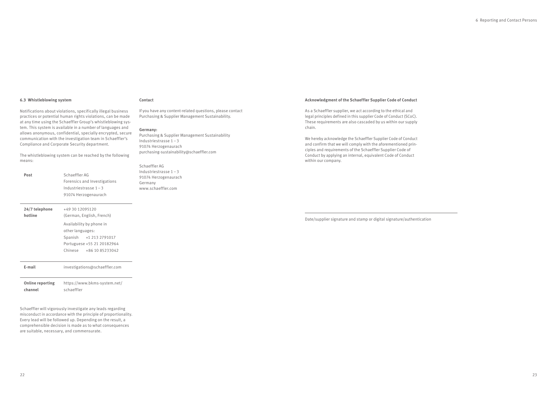Schaeffler will vigorously investigate any leads regarding misconduct in accordance with the principle of proportionality. Every lead will be followed up. Depending on the result, a comprehensible decision is made as to what consequences are suitable, necessary, and commensurate.

| Post                               | Schaeffler AG<br>Forensics and Investigations<br>Industriestrasse $1 - 3$<br>91074 Herzogenaurach                                                                               |  |
|------------------------------------|---------------------------------------------------------------------------------------------------------------------------------------------------------------------------------|--|
| 24/7 telephone<br>hotline          | +49 30 12095120<br>(German, English, French)<br>Availability by phone in<br>other languages:<br>Spanish +1 213 2791017<br>Portuguese +55 21 20182964<br>Chinese +86 10 85233042 |  |
| E-mail                             | investigations@schaeffler.com                                                                                                                                                   |  |
| <b>Online reporting</b><br>channel | https://www.bkms-system.net/<br>schaeffler                                                                                                                                      |  |

#### **6.3 Whistleblowing system**

Notifications about violations, specifically illegal business practices or potential human rights violations, can be made at any time using the Schaeffler Group's whistleblowing system. This system is available in a number of languages and allows anonymous, confidential, specially encrypted, secure communication with the investigation team in Schaeffler's Compliance and Corporate Security department.

The whistleblowing system can be reached by the following means:

#### **Contact**

If you have any content-related questions, please contact Purchasing & Supplier Management Sustainability.

#### **Germany:**

Purchasing & Supplier Management Sustainability Industriestrasse 1–3 91074 Herzogenaurach purchasing-sustainability@schaeffler.com

Schaeffler AG Industriestrasse 1–3 91074 Herzogenaurach Germany www.schaeffler.com

#### **Acknowledgment of the Schaeffler Supplier Code of Conduct**

As a Schaeffler supplier, we act according to the ethical and legal principles defined in this supplier Code of Conduct (SCoC). These requirements are also cascaded by us within our supply chain.

We hereby acknowledge the Schaeffler Supplier Code of Conduct and confirm that we will comply with the aforementioned principles and requirements of the Schaeffler Supplier Code of Conduct by applying an internal, equivalent Code of Conduct within our company.

Date/supplier signature and stamp or digital signature/authentication